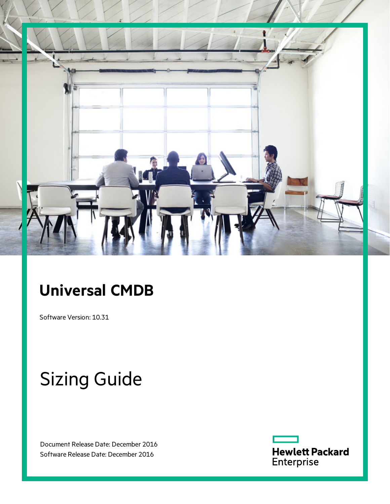

# **Universal CMDB**

Software Version: 10.31

# Sizing Guide

Document Release Date: December 2016 Software Release Date: December 2016

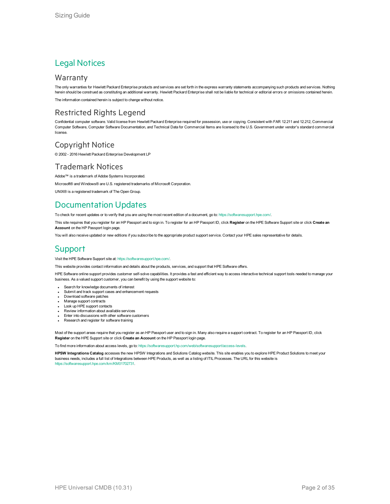### Legal Notices

### **Warranty**

The only warranties for Hewlett Packard Enterprise products and services are set forth in the express warranty statements accompanying such products and services. Nothing herein should be construed as constituting an additional warranty. Hewlett Packard Enterprise shall not be liable for technical or editorial errors or omissions contained herein.

The information contained herein is subject to change without notice.

### Restricted Rights Legend

Confidential computer software. Valid license from Hewlett Packard Enterprise required for possession, use or copying. Consistent with FAR 12.211 and 12.212, Commercial Computer Software, Computer Software Documentation, and Technical Data for Commercial Items are licensed to the U.S. Government under vendor's standard commercial license.

### Copyright Notice

© 2002 - 2016 Hewlett Packard Enterprise Development LP

### Trademark Notices

Adobe™ is a trademark of Adobe Systems Incorporated. Microsoft® and Windows® are U.S. registered trademarks of Microsoft Corporation. UNIX® is a registered trademark of The Open Group.

## Documentation Updates

To check for recent updates or to verify that you are using the most recent edition of a document, go to: <https://softwaresupport.hpe.com/>.

This site requires that you register for an HP Passport and to sign in. To register for an HP Passport ID, click **Register** on the HPE Software Support site or click **Create an Account** on the HP Passport login page.

You will also receive updated or new editions if you subscribe to the appropriate product support service. Contact your HPE sales representative for details.

### **Support**

Visit the HPE Software Support site at: <https://softwaresupport.hpe.com/>.

This website provides contact information and details about the products, services, and support that HPE Software offers.

HPE Software online support provides customer self-solve capabilities. It provides a fast and efficient way to access interactive technical support tools needed to manage your business. As a valued support customer, you can benefit by using the support website to:

- Search for knowledge documents of interest
- Submit and track support cases and enhancement requests
- Download software patches
- **Manage support contracts**
- Look up HPE support contacts
- Review information about available services
- Enter into discussions with other software customers
- Research and register for software training

Most of the support areas require that you register as an HP Passport user and to sign in. Many also require a support contract. To register for an HP Passport ID, click **Register** on the HPE Support site or click **Create an Account** on the HP Passport login page.

To find more information about access levels, go to: [https://softwaresupport.hp.com/web/softwaresupport/access-levels.](https://softwaresupport.hp.com/web/softwaresupport/access-levels)

**HPSW Integrations Catalog** accesses the new HPSW Integrations and Solutions Catalog website. This site enables you to explore HPE Product Solutions to meet your business needs, includes a full list of Integrations between HPE Products, as well as a listing of ITIL Processes. The URL for this website is [https://softwaresupport.hpe.com/km/KM01702731.](https://softwaresupport.hpe.com/km/KM01702731)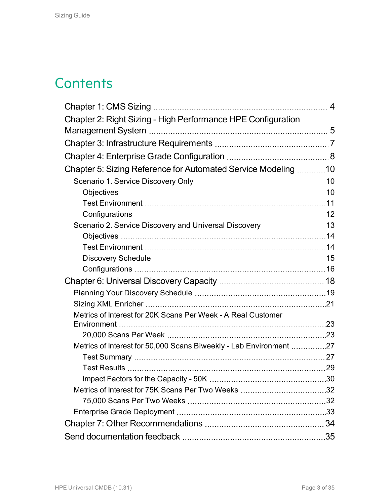# **Contents**

|                                                                    | $\overline{4}$ |
|--------------------------------------------------------------------|----------------|
| Chapter 2: Right Sizing - High Performance HPE Configuration       |                |
|                                                                    |                |
|                                                                    |                |
|                                                                    |                |
| Chapter 5: Sizing Reference for Automated Service Modeling 10      |                |
|                                                                    |                |
|                                                                    |                |
|                                                                    |                |
|                                                                    |                |
| Scenario 2. Service Discovery and Universal Discovery  13          |                |
|                                                                    |                |
|                                                                    |                |
|                                                                    |                |
|                                                                    |                |
|                                                                    |                |
|                                                                    |                |
|                                                                    |                |
| Metrics of Interest for 20K Scans Per Week - A Real Customer       |                |
|                                                                    |                |
| Metrics of Interest for 50,000 Scans Biweekly - Lab Environment 27 |                |
|                                                                    |                |
|                                                                    |                |
|                                                                    |                |
|                                                                    |                |
|                                                                    |                |
|                                                                    |                |
|                                                                    |                |
|                                                                    |                |
|                                                                    |                |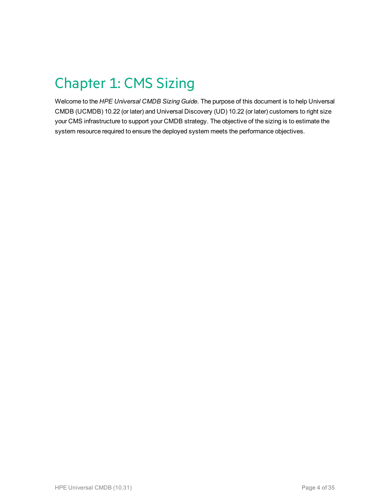# <span id="page-3-0"></span>Chapter 1: CMS Sizing

Welcome to the *HPE Universal CMDB Sizing Guide*. The purpose of this document is to help Universal CMDB (UCMDB) 10.22 (or later) and Universal Discovery (UD) 10.22 (or later) customers to right size your CMS infrastructure to support your CMDB strategy. The objective of the sizing is to estimate the system resource required to ensure the deployed system meets the performance objectives.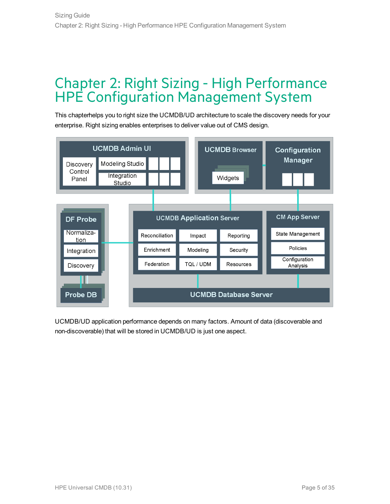## <span id="page-4-0"></span>Chapter 2: Right Sizing - High Performance HPE Configuration Management System

This chapterhelps you to right size the UCMDB/UD architecture to scale the discovery needs for your enterprise. Right sizing enables enterprises to deliver value out of CMS design.



UCMDB/UD application performance depends on many factors. Amount of data (discoverable and non-discoverable) that will be stored in UCMDB/UD is just one aspect.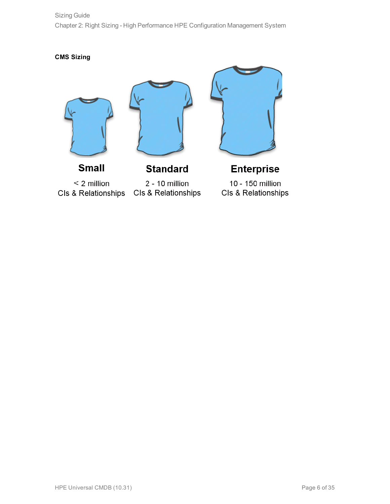Sizing Guide Chapter 2: Right Sizing - High Performance HPE Configuration Management System

**CMS Sizing**







 $<$  2 million CIs & Relationships

**Small** 

**Standard** 

2 - 10 million CIs & Relationships

**Enterprise** 10 - 150 million Cls & Relationships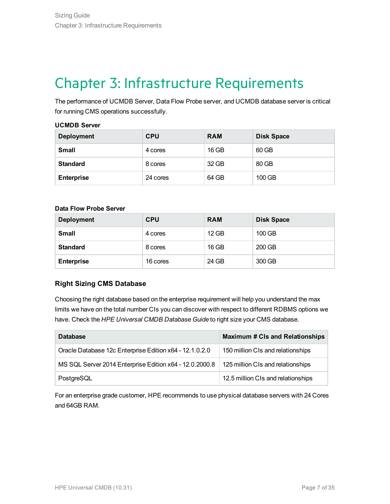# <span id="page-6-0"></span>Chapter 3: Infrastructure Requirements

The performance of UCMDB Server, Data Flow Probe server, and UCMDB database server is critical for running CMS operations successfully.

#### **UCMDB Server**

| <b>Deployment</b> | <b>CPU</b> | <b>RAM</b> | <b>Disk Space</b> |
|-------------------|------------|------------|-------------------|
| <b>Small</b>      | 4 cores    | 16 GB      | 60 GB             |
| <b>Standard</b>   | 8 cores    | 32 GB      | 80 GB             |
| <b>Enterprise</b> | 24 cores   | 64 GB      | 100 GB            |

#### **Data Flow Probe Server**

| <b>Deployment</b> | <b>CPU</b> | <b>RAM</b> | <b>Disk Space</b> |
|-------------------|------------|------------|-------------------|
| <b>Small</b>      | 4 cores    | 12 GB      | 100 GB            |
| <b>Standard</b>   | 8 cores    | 16 GB      | 200 GB            |
| <b>Enterprise</b> | 16 cores   | 24 GB      | 300 GB            |

### **Right Sizing CMS Database**

Choosing the right database based on the enterprise requirement will help you understand the max limits we have on the total number CIs you can discover with respect to different RDBMS options we have. Check the *HPE Universal CMDB Database Guide* to right size your CMS database.

| <b>Database</b>                                         | <b>Maximum # CIs and Relationships</b> |
|---------------------------------------------------------|----------------------------------------|
| Oracle Database 12c Enterprise Edition x64 - 12.1.0.2.0 | 150 million CIs and relationships      |
| MS SQL Server 2014 Enterprise Edition x64 - 12.0.2000.8 | 125 million CIs and relationships      |
| PostgreSQL                                              | 12.5 million CIs and relationships     |

For an enterprise grade customer, HPE recommends to use physical database servers with 24 Cores and 64GB RAM.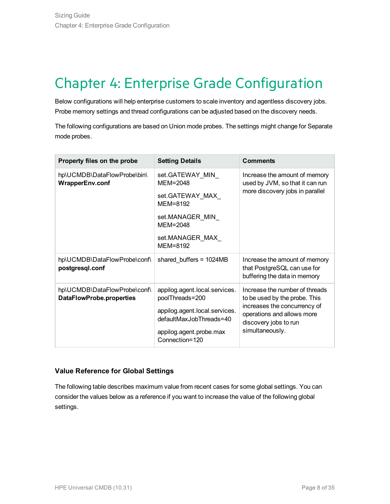# <span id="page-7-0"></span>Chapter 4: Enterprise Grade Configuration

Below configurations will help enterprise customers to scale inventory and agentless discovery jobs. Probe memory settings and thread configurations can be adjusted based on the discovery needs.

The following configurations are based on Union mode probes. The settings might change for Separate mode probes.

| Property files on the probe                                     | <b>Setting Details</b>                                   | <b>Comments</b>                                                                              |  |
|-----------------------------------------------------------------|----------------------------------------------------------|----------------------------------------------------------------------------------------------|--|
| hp\UCMDB\DataFlowProbe\bin\<br><b>WrapperEnv.conf</b>           | set.GATEWAY_MIN_<br>$MEM = 2048$                         | Increase the amount of memory<br>used by JVM, so that it can run                             |  |
|                                                                 | set.GATEWAY MAX<br>MEM=8192                              | more discovery jobs in parallel                                                              |  |
|                                                                 | set.MANAGER_MIN_<br>$MEM = 2048$                         |                                                                                              |  |
|                                                                 | set.MANAGER MAX<br>MEM=8192                              |                                                                                              |  |
| hp\UCMDB\DataFlowProbe\conf\<br>postgresql.conf                 | shared_buffers = 1024MB                                  | Increase the amount of memory<br>that PostgreSQL can use for<br>buffering the data in memory |  |
| hp\UCMDB\DataFlowProbe\conf\<br><b>DataFlowProbe.properties</b> | appilog.agent.local.services.<br>poolThreads=200         | Increase the number of threads<br>to be used by the probe. This                              |  |
|                                                                 | appilog.agent.local.services.<br>defaultMaxJobThreads=40 | increases the concurrency of<br>operations and allows more<br>discovery jobs to run          |  |
|                                                                 | appilog.agent.probe.max<br>Connection=120                | simultaneously.                                                                              |  |

### **Value Reference for Global Settings**

The following table describes maximum value from recent cases for some global settings. You can consider the values below as a reference if you want to increase the value of the following global settings.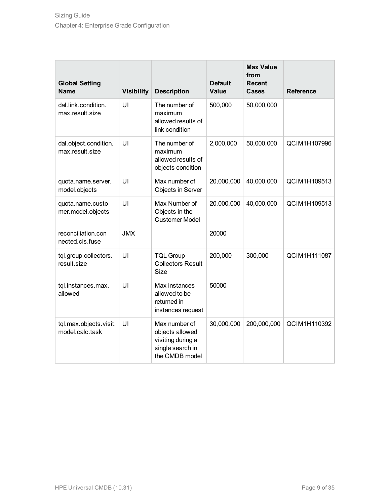| <b>Global Setting</b><br><b>Name</b>      | <b>Visibility</b> | <b>Description</b>                                                                          | <b>Default</b><br>Value | <b>Max Value</b><br>from<br><b>Recent</b><br><b>Cases</b> | <b>Reference</b> |
|-------------------------------------------|-------------------|---------------------------------------------------------------------------------------------|-------------------------|-----------------------------------------------------------|------------------|
| dal.link.condition.<br>max.result.size    | UI                | The number of<br>maximum<br>allowed results of<br>link condition                            | 500,000                 | 50,000,000                                                |                  |
| dal.object.condition.<br>max.result.size  | UI                | The number of<br>maximum<br>allowed results of<br>objects condition                         | 2,000,000               | 50,000,000                                                | QCIM1H107996     |
| quota.name.server.<br>model.objects       | UI                | Max number of<br>Objects in Server                                                          | 20,000,000              | 40,000,000                                                | QCIM1H109513     |
| quota.name.custo<br>mer.model.objects     | UI                | Max Number of<br>Objects in the<br><b>Customer Model</b>                                    | 20,000,000              | 40,000,000                                                | QCIM1H109513     |
| reconciliation.con<br>nected.cis.fuse     | <b>JMX</b>        |                                                                                             | 20000                   |                                                           |                  |
| tql.group.collectors.<br>result.size      | UI                | <b>TQL Group</b><br><b>Collectors Result</b><br><b>Size</b>                                 | 200,000                 | 300,000                                                   | QCIM1H111087     |
| tql.instances.max.<br>allowed             | UI                | Max instances<br>allowed to be<br>returned in<br>instances request                          | 50000                   |                                                           |                  |
| tql.max.objects.visit.<br>model.calc.task | UI                | Max number of<br>objects allowed<br>visiting during a<br>single search in<br>the CMDB model | 30,000,000              | 200,000,000                                               | QCIM1H110392     |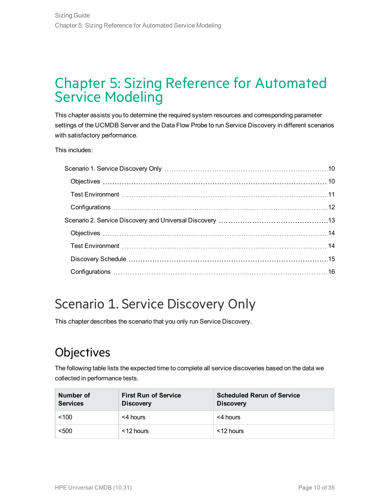## <span id="page-9-0"></span>Chapter 5: Sizing Reference for Automated Service Modeling

This chapter assists you to determine the required system resources and corresponding parameter settings of the UCMDB Server and the Data Flow Probe to run Service Discovery in different scenarios with satisfactory performance.

This includes:

## <span id="page-9-1"></span>Scenario 1. Service Discovery Only

This chapter describes the scenario that you only run Service Discovery.

## <span id="page-9-2"></span>**Objectives**

The following table lists the expected time to complete all service discoveries based on the data we collected in performance tests.

| Number of<br><b>Services</b> | <b>First Run of Service</b><br><b>Discovery</b> | <b>Scheduled Rerun of Service</b><br><b>Discovery</b> |
|------------------------------|-------------------------------------------------|-------------------------------------------------------|
| < 100                        | <4 hours                                        | <4 hours                                              |
| < 500                        | <12 hours                                       | <12 hours                                             |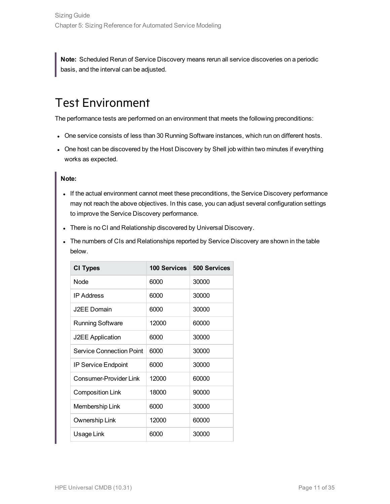**Note:** Scheduled Rerun of Service Discovery means rerun all service discoveries on a periodic basis, and the interval can be adjusted.

## <span id="page-10-0"></span>Test Environment

The performance tests are performed on an environment that meets the following preconditions:

- One service consists of less than 30 Running Software instances, which run on different hosts.
- One host can be discovered by the Host Discovery by Shell job within two minutes if everything works as expected.

### **Note:**

- If the actual environment cannot meet these preconditions, the Service Discovery performance may not reach the above objectives. In this case, you can adjust several configuration settings to improve the Service Discovery performance.
- There is no CI and Relationship discovered by Universal Discovery.
- The numbers of CIs and Relationships reported by Service Discovery are shown in the table below.

| <b>CI Types</b>            | <b>100 Services</b> | 500 Services |
|----------------------------|---------------------|--------------|
| Node                       | 6000                | 30000        |
| <b>IP Address</b>          | 6000                | 30000        |
| J2EE Domain                | 6000                | 30000        |
| <b>Running Software</b>    | 12000               | 60000        |
| <b>J2EE Application</b>    | 6000                | 30000        |
| Service Connection Point   | 6000                | 30000        |
| <b>IP Service Endpoint</b> | 6000                | 30000        |
| Consumer-Provider Link     | 12000               | 60000        |
| <b>Composition Link</b>    | 18000               | 90000        |
| Membership Link            | 6000                | 30000        |
| Ownership Link             | 12000               | 60000        |
| Usage Link                 | 6000                | 30000        |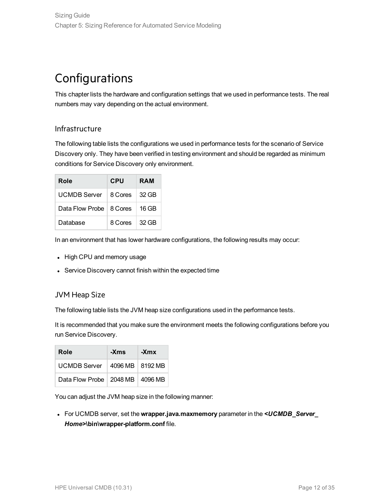## <span id="page-11-0"></span>**Configurations**

This chapter lists the hardware and configuration settings that we used in performance tests. The real numbers may vary depending on the actual environment.

### Infrastructure

The following table lists the configurations we used in performance tests for the scenario of Service Discovery only. They have been verified in testing environment and should be regarded as minimum conditions for Service Discovery only environment.

| Role                      | <b>CPU</b>            | <b>RAM</b> |
|---------------------------|-----------------------|------------|
| UCMDB Server              | 8 Cores 32 GB         |            |
| Data Flow Probe   8 Cores |                       | ∣ 16 GB    |
| Database                  | $8$ Cores $\pm$ 32 GB |            |

In an environment that has lower hardware configurations, the following results may occur:

- High CPU and memory usage
- Service Discovery cannot finish within the expected time

### JVM Heap Size

The following table lists the JVM heap size configurations used in the performance tests.

It is recommended that you make sure the environment meets the following configurations before you run Service Discovery.

| Role                                | -Xms | -Xmx |
|-------------------------------------|------|------|
| UCMDB Server   4096 MB   8192 MB    |      |      |
| Data Flow Probe   2048 MB   4096 MB |      |      |

You can adjust the JVM heap size in the following manner:

<sup>l</sup> For UCMDB server, set the **wrapper.java.maxmemory** parameter in the *<UCMDB\_Server\_ Home>***\bin\wrapper-platform.conf** file.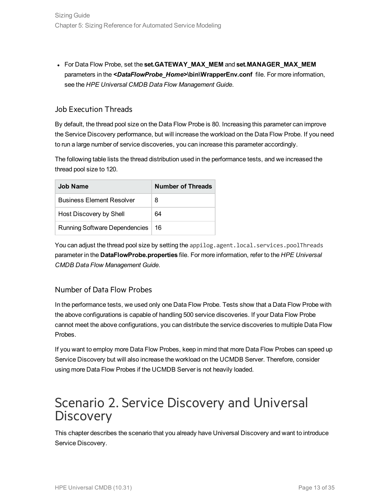<sup>l</sup> For Data Flow Probe, set the **set.GATEWAY\_MAX\_MEM** and **set.MANAGER\_MAX\_MEM** parameters in the *<DataFlowProbe\_Home>***\bin\WrapperEnv.conf** file. For more information, see the *HPE Universal CMDB Data Flow Management Guide*.

### Job Execution Threads

By default, the thread pool size on the Data Flow Probe is 80. Increasing this parameter can improve the Service Discovery performance, but will increase the workload on the Data Flow Probe. If you need to run a large number of service discoveries, you can increase this parameter accordingly.

The following table lists the thread distribution used in the performance tests, and we increased the thread pool size to 120.

| Job Name                             | Number of Threads |
|--------------------------------------|-------------------|
| <b>Business Element Resolver</b>     | 8                 |
| Host Discovery by Shell              | 64                |
| <b>Running Software Dependencies</b> | 16                |

You can adjust the thread pool size by setting the appilog.agent.local.services.poolThreads parameter in the **DataFlowProbe.properties** file. For more information, refer to the *HPE Universal CMDB Data Flow Management Guide*.

### Number of Data Flow Probes

In the performance tests, we used only one Data Flow Probe. Tests show that a Data Flow Probe with the above configurations is capable of handling 500 service discoveries. If your Data Flow Probe cannot meet the above configurations, you can distribute the service discoveries to multiple Data Flow Probes.

If you want to employ more Data Flow Probes, keep in mind that more Data Flow Probes can speed up Service Discovery but will also increase the workload on the UCMDB Server. Therefore, consider using more Data Flow Probes if the UCMDB Server is not heavily loaded.

## <span id="page-12-0"></span>Scenario 2. Service Discovery and Universal **Discovery**

This chapter describes the scenario that you already have Universal Discovery and want to introduce Service Discovery.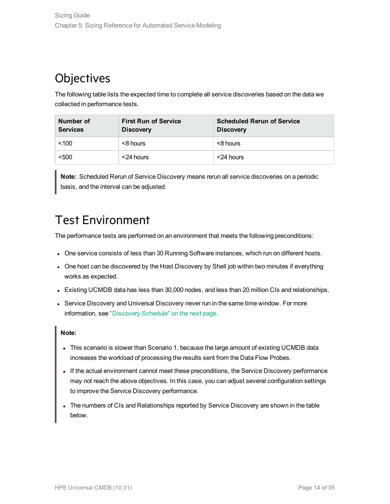## <span id="page-13-0"></span>**Objectives**

The following table lists the expected time to complete all service discoveries based on the data we collected in performance tests.

| Number of<br><b>Services</b> | <b>First Run of Service</b><br><b>Discovery</b> | <b>Scheduled Rerun of Service</b><br><b>Discovery</b> |
|------------------------------|-------------------------------------------------|-------------------------------------------------------|
| ~100                         | <8 hours                                        | <8 hours                                              |
| < 500                        | <24 hours                                       | <24 hours                                             |

**Note:** Scheduled Rerun of Service Discovery means rerun all service discoveries on a periodic basis, and the interval can be adjusted.

## <span id="page-13-1"></span>Test Environment

The performance tests are performed on an environment that meets the following preconditions:

- One service consists of less than 30 Running Software instances, which run on different hosts.
- One host can be discovered by the Host Discovery by Shell job within two minutes if everything works as expected.
- Existing UCMDB data has less than 30,000 nodes, and less than 20 million CIs and relationships.
- Service Discovery and Universal Discovery never run in the same time window. For more information, see ["Discovery](#page-14-0) Schedule" on the next page.

### **Note:**

- This scenario is slower than Scenario 1, because the large amount of existing UCMDB data increases the workload of processing the results sent from the Data Flow Probes.
- If the actual environment cannot meet these preconditions, the Service Discovery performance may not reach the above objectives. In this case, you can adjust several configuration settings to improve the Service Discovery performance.
- The numbers of CIs and Relationships reported by Service Discovery are shown in the table below.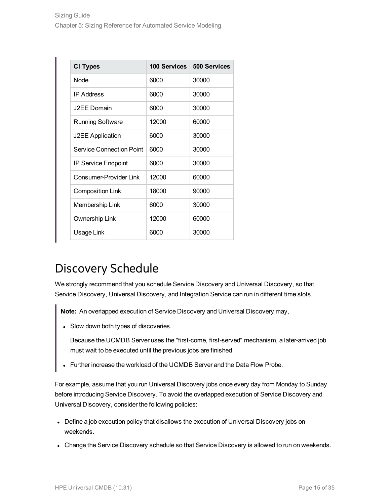| <b>CI Types</b>            | <b>100 Services</b> | <b>500 Services</b> |
|----------------------------|---------------------|---------------------|
| <b>Node</b>                | 6000                | 30000               |
| <b>IP Address</b>          | 6000                | 30000               |
| J2EE Domain                | 6000                | 30000               |
| <b>Running Software</b>    | 12000               | 60000               |
| <b>J2EE Application</b>    | 6000                | 30000               |
| Service Connection Point   | 6000                | 30000               |
| <b>IP Service Endpoint</b> | 6000                | 30000               |
| Consumer-Provider Link     | 12000               | 60000               |
| <b>Composition Link</b>    | 18000               | 90000               |
| Membership Link            | 6000                | 30000               |
| Ownership Link             | 12000               | 60000               |
| Usage Link                 | 6000                | 30000               |

## <span id="page-14-0"></span>Discovery Schedule

We strongly recommend that you schedule Service Discovery and Universal Discovery, so that Service Discovery, Universal Discovery, and Integration Service can run in different time slots.

**Note:** An overlapped execution of Service Discovery and Universal Discovery may,

• Slow down both types of discoveries.

Because the UCMDB Server uses the "first-come, first-served" mechanism, a later-arrived job must wait to be executed until the previous jobs are finished.

• Further increase the workload of the UCMDB Server and the Data Flow Probe.

For example, assume that you run Universal Discovery jobs once every day from Monday to Sunday before introducing Service Discovery. To avoid the overlapped execution of Service Discovery and Universal Discovery, consider the following policies:

- Define a job execution policy that disallows the execution of Universal Discovery jobs on weekends.
- Change the Service Discovery schedule so that Service Discovery is allowed to run on weekends.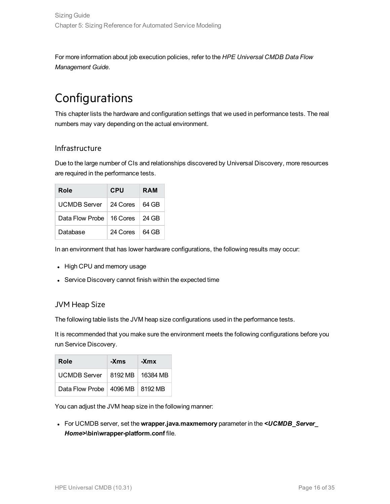For more information about job execution policies, refer to the *HPE Universal CMDB Data Flow Management Guide*.

## <span id="page-15-0"></span>Configurations

This chapter lists the hardware and configuration settings that we used in performance tests. The real numbers may vary depending on the actual environment.

### Infrastructure

Due to the large number of CIs and relationships discovered by Universal Discovery, more resources are required in the performance tests.

| Role            | <b>CPU</b> | <b>RAM</b> |
|-----------------|------------|------------|
| UCMDB Server    | 24 Cores   | 64 GB      |
| Data Flow Probe | 16 Cores   | 24 GB      |
| Database        | 24 Cores   | 64 GB      |

In an environment that has lower hardware configurations, the following results may occur:

- High CPU and memory usage
- Service Discovery cannot finish within the expected time

### JVM Heap Size

The following table lists the JVM heap size configurations used in the performance tests.

It is recommended that you make sure the environment meets the following configurations before you run Service Discovery.

| Role                                | -Xms | -Xmx |
|-------------------------------------|------|------|
| UCMDB Server   8192 MB   16384 MB   |      |      |
| Data Flow Probe   4096 MB   8192 MB |      |      |

You can adjust the JVM heap size in the following manner:

<sup>l</sup> For UCMDB server, set the **wrapper.java.maxmemory** parameter in the *<UCMDB\_Server\_ Home>***\bin\wrapper-platform.conf** file.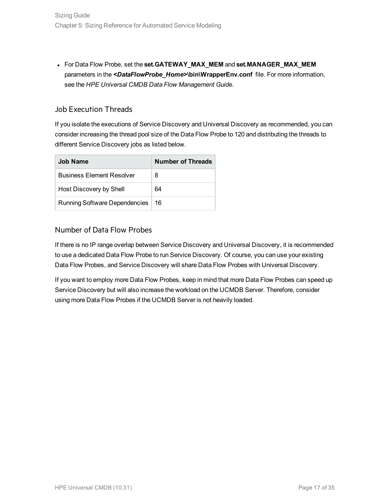<sup>l</sup> For Data Flow Probe, set the **set.GATEWAY\_MAX\_MEM** and **set.MANAGER\_MAX\_MEM** parameters in the *<DataFlowProbe\_Home>***\bin\WrapperEnv.conf** file. For more information, see the *HPE Universal CMDB Data Flow Management Guide*.

### Job Execution Threads

If you isolate the executions of Service Discovery and Universal Discovery as recommended, you can consider increasing the thread pool size of the Data Flow Probe to 120 and distributing the threads to different Service Discovery jobs as listed below.

| Job Name                             | <b>Number of Threads</b> |
|--------------------------------------|--------------------------|
| <b>Business Element Resolver</b>     | 8                        |
| Host Discovery by Shell              | 64                       |
| <b>Running Software Dependencies</b> | 16                       |

### Number of Data Flow Probes

If there is no IP range overlap between Service Discovery and Universal Discovery, it is recommended to use a dedicated Data Flow Probe to run Service Discovery. Of course, you can use your existing Data Flow Probes, and Service Discovery will share Data Flow Probes with Universal Discovery.

If you want to employ more Data Flow Probes, keep in mind that more Data Flow Probes can speed up Service Discovery but will also increase the workload on the UCMDB Server. Therefore, consider using more Data Flow Probes if the UCMDB Server is not heavily loaded.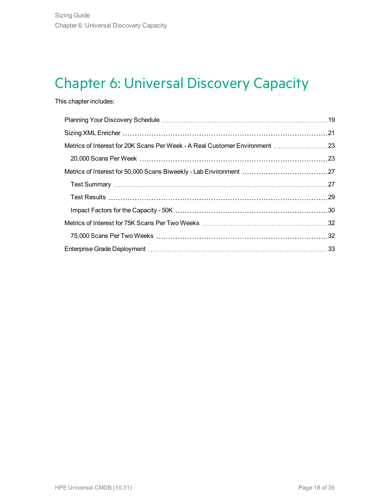# <span id="page-17-0"></span>Chapter 6: Universal Discovery Capacity

### This chapter includes:

| Metrics of Interest for 20K Scans Per Week - A Real Customer Environment 23 |  |
|-----------------------------------------------------------------------------|--|
|                                                                             |  |
|                                                                             |  |
|                                                                             |  |
|                                                                             |  |
|                                                                             |  |
|                                                                             |  |
|                                                                             |  |
|                                                                             |  |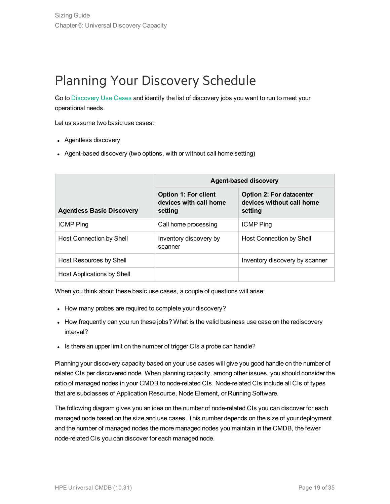# <span id="page-18-0"></span>Planning Your Discovery Schedule

Go to [Discovery](http://cmshelpcenter.saas.hp.com/CMSBP/index.html#current/CMSDiscUsecase.html?TocPath=Discovery|_____1) Use Cases and identify the list of discovery jobs you want to run to meet your operational needs.

Let us assume two basic use cases:

- Agentless discovery
- Agent-based discovery (two options, with or without call home setting)

|                                  | <b>Agent-based discovery</b>                              |                                                                         |  |
|----------------------------------|-----------------------------------------------------------|-------------------------------------------------------------------------|--|
| <b>Agentless Basic Discovery</b> | Option 1: For client<br>devices with call home<br>setting | <b>Option 2: For datacenter</b><br>devices without call home<br>setting |  |
| <b>ICMP Ping</b>                 | Call home processing                                      | <b>ICMP Ping</b>                                                        |  |
| Host Connection by Shell         | Inventory discovery by<br>scanner                         | Host Connection by Shell                                                |  |
| Host Resources by Shell          |                                                           | Inventory discovery by scanner                                          |  |
| Host Applications by Shell       |                                                           |                                                                         |  |

When you think about these basic use cases, a couple of questions will arise:

- How many probes are required to complete your discovery?
- How frequently can you run these jobs? What is the valid business use case on the rediscovery interval?
- Is there an upper limit on the number of trigger CIs a probe can handle?

Planning your discovery capacity based on your use cases will give you good handle on the number of related CIs per discovered node. When planning capacity, among other issues, you should consider the ratio of managed nodes in your CMDB to node-related CIs. Node-related CIs include all CIs of types that are subclasses of Application Resource, Node Element, or Running Software.

The following diagram gives you an idea on the number of node-related CIs you can discover for each managed node based on the size and use cases. This number depends on the size of your deployment and the number of managed nodes the more managed nodes you maintain in the CMDB, the fewer node-related CIs you can discover for each managed node.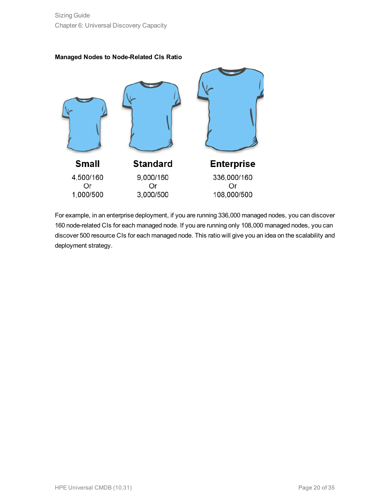



For example, in an enterprise deployment, if you are running 336,000 managed nodes, you can discover 160 node-related CIs for each managed node. If you are running only 108,000 managed nodes, you can discover 500 resource CIs for each managed node. This ratio will give you an idea on the scalability and deployment strategy.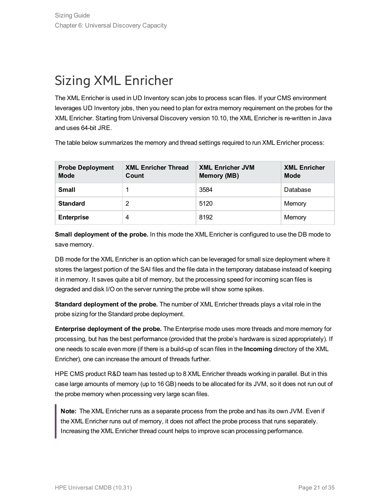## <span id="page-20-0"></span>Sizing XML Enricher

The XML Enricher is used in UD Inventory scan jobs to process scan files. If your CMS environment leverages UD Inventory jobs, then you need to plan for extra memory requirement on the probes for the XML Enricher. Starting from Universal Discovery version 10.10, the XML Enricher is re-written in Java and uses 64-bit JRE.

The table below summarizes the memory and thread settings required to run XML Enricher process:

| <b>Probe Deployment</b><br><b>Mode</b> | <b>XML Enricher Thread</b><br>Count | <b>XML Enricher JVM</b><br>Memory (MB) | <b>XML Enricher</b><br><b>Mode</b> |
|----------------------------------------|-------------------------------------|----------------------------------------|------------------------------------|
| <b>Small</b>                           |                                     | 3584                                   | Database                           |
| <b>Standard</b>                        | 2                                   | 5120                                   | Memory                             |
| <b>Enterprise</b>                      | 4                                   | 8192                                   | Memory                             |

**Small deployment of the probe.** In this mode the XML Enricher is configured to use the DB mode to save memory.

DB mode for the XML Enricher is an option which can be leveraged for small size deployment where it stores the largest portion of the SAI files and the file data in the temporary database instead of keeping it in memory. It saves quite a bit of memory, but the processing speed for incoming scan files is degraded and disk I/O on the server running the probe will show some spikes.

**Standard deployment of the probe.** The number of XML Enricher threads plays a vital role in the probe sizing for the Standard probe deployment.

**Enterprise deployment of the probe.** The Enterprise mode uses more threads and more memory for processing, but has the best performance (provided that the probe's hardware is sized appropriately). If one needs to scale even more (if there is a build-up of scan files in the **Incoming** directory of the XML Enricher), one can increase the amount of threads further.

HPE CMS product R&D team has tested up to 8 XML Enricher threads working in parallel. But in this case large amounts of memory (up to 16 GB) needs to be allocated for its JVM, so it does not run out of the probe memory when processing very large scan files.

**Note:** The XML Enricher runs as a separate process from the probe and has its own JVM. Even if the XML Enricher runs out of memory, it does not affect the probe process that runs separately. Increasing the XML Enricher thread count helps to improve scan processing performance.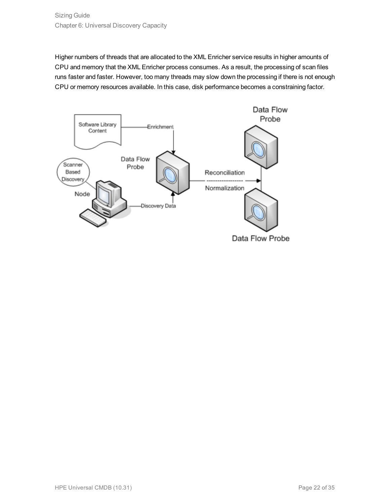Higher numbers of threads that are allocated to the XML Enricher service results in higher amounts of CPU and memory that the XML Enricher process consumes. As a result, the processing of scan files runs faster and faster. However, too many threads may slow down the processing if there is not enough CPU or memory resources available. In this case, disk performance becomes a constraining factor.



Data Flow Probe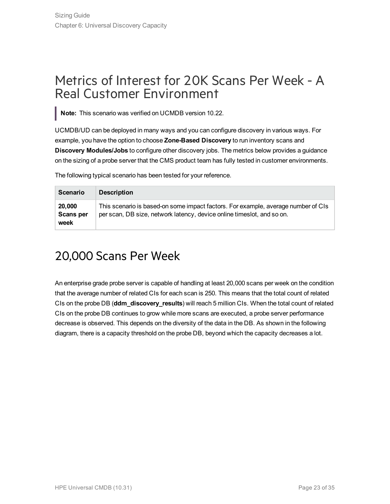## <span id="page-22-0"></span>Metrics of Interest for 20K Scans Per Week - A Real Customer Environment

**Note:** This scenario was verified on UCMDB version 10.22.

UCMDB/UD can be deployed in many ways and you can configure discovery in various ways. For example, you have the option to choose **Zone-Based Discovery** to run inventory scans and **Discovery Modules/Jobs** to configure other discovery jobs. The metrics below provides a guidance on the sizing of a probe server that the CMS product team has fully tested in customer environments.

The following typical scenario has been tested for your reference.

| <b>Scenario</b>                    | <b>Description</b>                                                                                                                                          |
|------------------------------------|-------------------------------------------------------------------------------------------------------------------------------------------------------------|
| 20,000<br><b>Scans per</b><br>week | This scenario is based-on some impact factors. For example, average number of CIs<br>per scan, DB size, network latency, device online times ot, and so on. |

## <span id="page-22-1"></span>20,000 Scans Per Week

An enterprise grade probe server is capable of handling at least 20,000 scans per week on the condition that the average number of related CIs for each scan is 250. This means that the total count of related CIs on the probe DB (**ddm\_discovery\_results**) will reach 5 million CIs. When the total count of related CIs on the probe DB continues to grow while more scans are executed, a probe server performance decrease is observed. This depends on the diversity of the data in the DB. As shown in the following diagram, there is a capacity threshold on the probe DB, beyond which the capacity decreases a lot.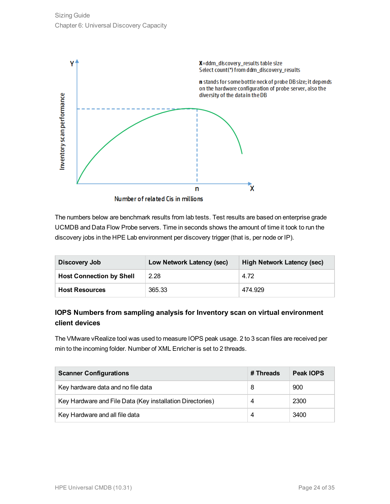

The numbers below are benchmark results from lab tests. Test results are based on enterprise grade UCMDB and Data Flow Probe servers. Time in seconds shows the amount of time it took to run the discovery jobs in the HPE Lab environment per discovery trigger (that is, per node or IP).

| Discovery Job                   | Low Network Latency (sec) | High Network Latency (sec) |
|---------------------------------|---------------------------|----------------------------|
| <b>Host Connection by Shell</b> | 2.28                      | 4.72                       |
| <b>Host Resources</b>           | 365.33                    | 474.929                    |

### **IOPS Numbers from sampling analysis for Inventory scan on virtual environment client devices**

The VMware vRealize tool was used to measure IOPS peak usage. 2 to 3 scan files are received per min to the incoming folder. Number of XML Enricher is set to 2 threads.

| <b>Scanner Configurations</b>                             | # Threads | Peak IOPS |
|-----------------------------------------------------------|-----------|-----------|
| Key hardware data and no file data                        | 8         | 900       |
| Key Hardware and File Data (Key installation Directories) | 4         | 2300      |
| Key Hardware and all file data                            | 4         | 3400      |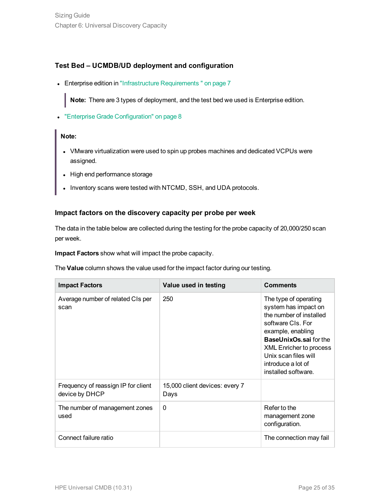### **Test Bed – UCMDB/UD deployment and configuration**

• Enterprise edition in ["Infrastructure](#page-6-0) Requirements " on page 7

**Note:** There are 3 types of deployment, and the test bed we used is Enterprise edition.

**.** "Enterprise Grade [Configuration"](#page-7-0) on page 8

#### **Note:**

- VMware virtualization were used to spin up probes machines and dedicated VCPUs were assigned.
- High end performance storage
- Inventory scans were tested with NTCMD, SSH, and UDA protocols.

### **Impact factors on the discovery capacity per probe per week**

The data in the table below are collected during the testing for the probe capacity of 20,000/250 scan per week.

**Impact Factors** show what will impact the probe capacity.

The **Value** column shows the value used for the impact factor during our testing.

| <b>Impact Factors</b>                                 | Value used in testing                  | <b>Comments</b>                                                                                                                                                                                                                                            |
|-------------------------------------------------------|----------------------------------------|------------------------------------------------------------------------------------------------------------------------------------------------------------------------------------------------------------------------------------------------------------|
| Average number of related CIs per<br>scan             | 250                                    | The type of operating<br>system has impact on<br>the number of installed<br>software CIs. For<br>example, enabling<br><b>BaseUnixOs.sai for the</b><br><b>XML Enricher to process</b><br>Unix scan files will<br>introduce a lot of<br>installed software. |
| Frequency of reassign IP for client<br>device by DHCP | 15,000 client devices: every 7<br>Days |                                                                                                                                                                                                                                                            |
| The number of management zones<br>used                | $\Omega$                               | Refer to the<br>management zone<br>configuration.                                                                                                                                                                                                          |
| Connect failure ratio                                 |                                        | The connection may fail                                                                                                                                                                                                                                    |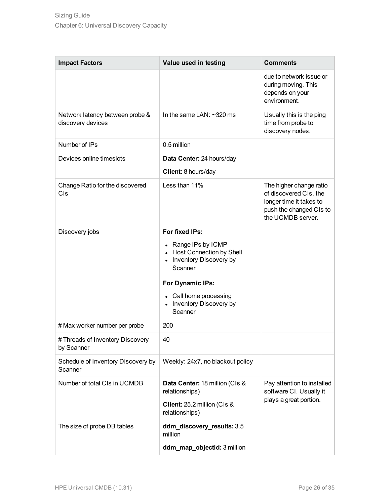| <b>Impact Factors</b>                                | Value used in testing                                                                                                                                                                           | <b>Comments</b>                                                                                                              |
|------------------------------------------------------|-------------------------------------------------------------------------------------------------------------------------------------------------------------------------------------------------|------------------------------------------------------------------------------------------------------------------------------|
|                                                      |                                                                                                                                                                                                 | due to network issue or<br>during moving. This<br>depends on your<br>environment.                                            |
| Network latency between probe &<br>discovery devices | In the same LAN: $\sim$ 320 ms                                                                                                                                                                  | Usually this is the ping<br>time from probe to<br>discovery nodes.                                                           |
| Number of IPs                                        | 0.5 million                                                                                                                                                                                     |                                                                                                                              |
| Devices online timeslots                             | Data Center: 24 hours/day<br>Client: 8 hours/day                                                                                                                                                |                                                                                                                              |
| Change Ratio for the discovered<br>CIs               | Less than 11%                                                                                                                                                                                   | The higher change ratio<br>of discovered CIs, the<br>longer time it takes to<br>push the changed CIs to<br>the UCMDB server. |
| Discovery jobs                                       | For fixed IPs:<br>• Range IPs by ICMP<br>• Host Connection by Shell<br>• Inventory Discovery by<br>Scanner<br>For Dynamic IPs:<br>• Call home processing<br>• Inventory Discovery by<br>Scanner |                                                                                                                              |
| # Max worker number per probe                        | 200                                                                                                                                                                                             |                                                                                                                              |
| # Threads of Inventory Discovery<br>by Scanner       | 40                                                                                                                                                                                              |                                                                                                                              |
| Schedule of Inventory Discovery by<br>Scanner        | Weekly: 24x7, no blackout policy                                                                                                                                                                |                                                                                                                              |
| Number of total CIs in UCMDB                         | Data Center: 18 million (CIs &<br>relationships)<br>Client: 25.2 million (Cls &<br>relationships)                                                                                               | Pay attention to installed<br>software CI. Usually it<br>plays a great portion.                                              |
| The size of probe DB tables                          | ddm_discovery_results: 3.5<br>million                                                                                                                                                           |                                                                                                                              |
|                                                      | ddm_map_objectid: 3 million                                                                                                                                                                     |                                                                                                                              |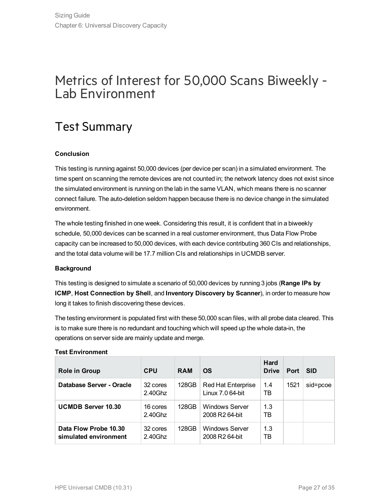## <span id="page-26-0"></span>Metrics of Interest for 50,000 Scans Biweekly - Lab Environment

## <span id="page-26-1"></span>Test Summary

### **Conclusion**

This testing is running against 50,000 devices (per device per scan) in a simulated environment. The time spent on scanning the remote devices are not counted in; the network latency does not exist since the simulated environment is running on the lab in the same VLAN, which means there is no scanner connect failure. The auto-deletion seldom happen because there is no device change in the simulated environment.

The whole testing finished in one week. Considering this result, it is confident that in a biweekly schedule, 50,000 devices can be scanned in a real customer environment, thus Data Flow Probe capacity can be increased to 50,000 devices, with each device contributing 360 CIs and relationships, and the total data volume will be 17.7 million CIs and relationships in UCMDB server.

### **Background**

This testing is designed to simulate a scenario of 50,000 devices by running 3 jobs (**Range IPs by ICMP**, **Host Connection by Shell**, and **Inventory Discovery by Scanner**), in order to measure how long it takes to finish discovering these devices.

The testing environment is populated first with these 50,000 scan files, with all probe data cleared. This is to make sure there is no redundant and touching which will speed up the whole data-in, the operations on server side are mainly update and merge.

| <b>Role in Group</b>                           | <b>CPU</b>             | <b>RAM</b> | <b>OS</b>                                           | <b>Hard</b><br><b>Drive</b> | Port | <b>SID</b> |
|------------------------------------------------|------------------------|------------|-----------------------------------------------------|-----------------------------|------|------------|
| Database Server - Oracle                       | 32 cores<br>$2.40$ Ghz | 128GB      | <b>Red Hat Enterprise</b><br>Linux 7.0 64-bit       | 1.4<br>TB                   | 1521 | sid=pcoe   |
| <b>UCMDB Server 10.30</b>                      | 16 cores<br>2.40Ghz    | 128GB      | <b>Windows Server</b><br>2008 R <sub>2</sub> 64-bit | 1.3<br>TB                   |      |            |
| Data Flow Probe 10.30<br>simulated environment | 32 cores<br>$2.40$ Ghz | 128GB      | <b>Windows Server</b><br>2008 R2 64-bit             | 1.3<br>ТB                   |      |            |

### **Test Environment**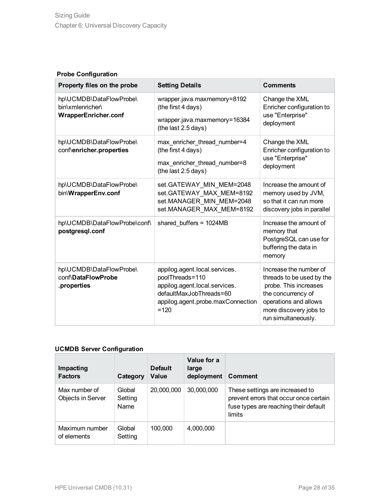### **Probe Configuration**

| Property files on the probe                                                | <b>Setting Details</b>                                                                                                                                      | <b>Comments</b>                                                                                                                                                              |
|----------------------------------------------------------------------------|-------------------------------------------------------------------------------------------------------------------------------------------------------------|------------------------------------------------------------------------------------------------------------------------------------------------------------------------------|
| hp\UCMDB\DataFlowProbe\<br>bin\xmlenricher\<br><b>WrapperEnricher.conf</b> | wrapper.java.maxmemory=8192<br>(the first 4 days)<br>wrapper.java.maxmemory=16384<br>(the last 2.5 days)                                                    | Change the XML<br>Enricher configuration to<br>use "Enterprise"<br>deployment                                                                                                |
| hp\UCMDB\DataFlowProbe\<br>conf\enricher.properties                        | max enricher thread number=4<br>(the first 4 days)<br>max_enricher_thread_number=8<br>(the last 2.5 days)                                                   | Change the XML<br>Enricher configuration to<br>use "Enterprise"<br>deployment                                                                                                |
| hp\UCMDB\DataFlowProbe\<br>bin\WrapperEnv.conf                             | set.GATEWAY_MIN_MEM=2048<br>set.GATEWAY_MAX_MEM=8192<br>set.MANAGER_MIN_MEM=2048<br>set.MANAGER MAX MEM=8192                                                | Increase the amount of<br>memory used by JVM,<br>so that it can run more<br>discovery jobs in parallel                                                                       |
| hp\UCMDB\DataFlowProbe\conf\<br>postgresql.conf                            | shared buffers = $1024MB$                                                                                                                                   | Increase the amount of<br>memory that<br>PostgreSQL can use for<br>buffering the data in<br>memory                                                                           |
| hp\UCMDB\DataFlowProbe\<br>conf\DataFlowProbe<br>.properties               | appilog.agent.local.services.<br>poolThreads=110<br>appilog.agent.local.services.<br>defaultMaxJobThreads=60<br>appilog.agent.probe.maxConnection<br>$=120$ | Increase the number of<br>threads to be used by the<br>probe. This increases<br>the concurrency of<br>operations and allows<br>more discovery jobs to<br>run simultaneously. |

### **UCMDB Server Configuration**

| Impacting<br><b>Factors</b>        | Category                  | <b>Default</b><br>Value | Value for a<br>large<br>deployment | <b>Comment</b>                                                                                                               |
|------------------------------------|---------------------------|-------------------------|------------------------------------|------------------------------------------------------------------------------------------------------------------------------|
| Max number of<br>Objects in Server | Global<br>Setting<br>Name | 20,000,000              | 30,000,000                         | These settings are increased to<br>prevent errors that occur once certain<br>fuse types are reaching their default<br>limits |
| Maximum number<br>of elements      | Global<br>Setting         | 100,000                 | 4,000,000                          |                                                                                                                              |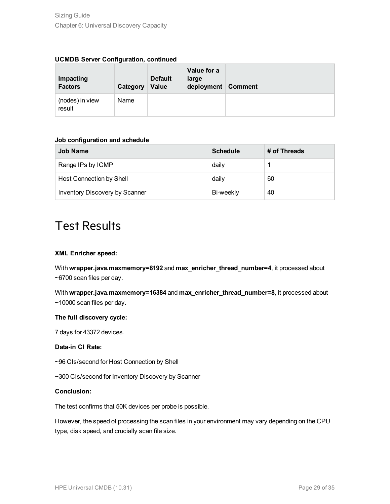| Impacting<br><b>Factors</b> | Category | <b>Default</b><br>Value | Value for a<br>large<br>deployment | <b>Comment</b> |
|-----------------------------|----------|-------------------------|------------------------------------|----------------|
| (nodes) in view<br>result   | Name     |                         |                                    |                |

### **Job configuration and schedule**

| <b>Job Name</b>                 | <b>Schedule</b> | # of Threads |
|---------------------------------|-----------------|--------------|
| Range IPs by ICMP               | daily           |              |
| <b>Host Connection by Shell</b> | daily           | 60           |
| Inventory Discovery by Scanner  | Bi-weekly       | 40           |

## <span id="page-28-0"></span>Test Results

#### **XML Enricher speed:**

With **wrapper.java.maxmemory=8192** and **max\_enricher\_thread\_number=4**, it processed about ~6700 scan files per day.

With **wrapper.java.maxmemory=16384** and **max\_enricher\_thread\_number=8**, it processed about ~10000 scan files per day.

#### **The full discovery cycle:**

7 days for 43372 devices.

#### **Data-in CI Rate:**

~96 CIs/second for Host Connection by Shell

~300 CIs/second for Inventory Discovery by Scanner

#### **Conclusion:**

The test confirms that 50K devices per probe is possible.

However, the speed of processing the scan files in your environment may vary depending on the CPU type, disk speed, and crucially scan file size.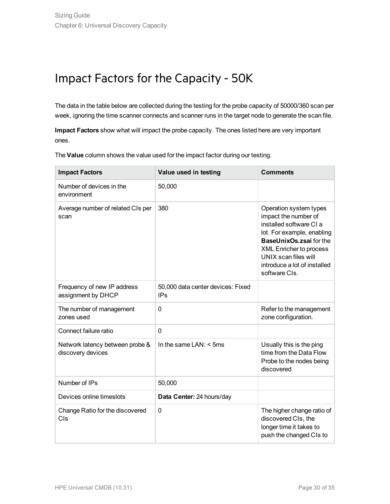## <span id="page-29-0"></span>Impact Factors for the Capacity - 50K

The data in the table below are collected during the testing for the probe capacity of 50000/360 scan per week, ignoring the time scanner connects and scanner runs in the target node to generate the scan file.

**Impact Factors** show what will impact the probe capacity. The ones listed here are very important ones.

The **Value** column shows the value used for the impact factor during our testing.

| <b>Impact Factors</b>                                | Value used in testing                           | <b>Comments</b>                                                                                                                                                                                                                               |
|------------------------------------------------------|-------------------------------------------------|-----------------------------------------------------------------------------------------------------------------------------------------------------------------------------------------------------------------------------------------------|
| Number of devices in the<br>environment              | 50,000                                          |                                                                                                                                                                                                                                               |
| Average number of related CIs per<br>scan            | 380                                             | Operation system types<br>impact the number of<br>installed software CI a<br>lot. For example, enabling<br>BaseUnixOs.zsai for the<br><b>XML Enricher to process</b><br>UNIX scan files will<br>introduce a lot of installed<br>software CIs. |
| Frequency of new IP address<br>assignment by DHCP    | 50,000 data center devices: Fixed<br><b>IPs</b> |                                                                                                                                                                                                                                               |
| The number of management<br>zones used               | 0                                               | Refer to the management<br>zone configuration.                                                                                                                                                                                                |
| Connect failure ratio                                | 0                                               |                                                                                                                                                                                                                                               |
| Network latency between probe &<br>discovery devices | In the same $LAN: < 5ms$                        | Usually this is the ping<br>time from the Data Flow<br>Probe to the nodes being<br>discovered                                                                                                                                                 |
| Number of IPs                                        | 50,000                                          |                                                                                                                                                                                                                                               |
| Devices online timeslots                             | Data Center: 24 hours/day                       |                                                                                                                                                                                                                                               |
| Change Ratio for the discovered<br>Cls               | 0                                               | The higher change ratio of<br>discovered CIs, the<br>longer time it takes to<br>push the changed CIs to                                                                                                                                       |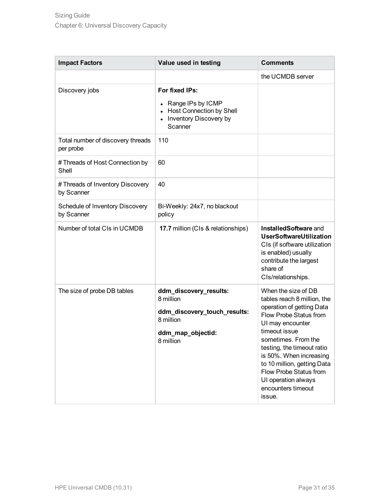| <b>Impact Factors</b>                          | Value used in testing                                                                                              | <b>Comments</b>                                                                                                                                                                                                                                                                                                                                |
|------------------------------------------------|--------------------------------------------------------------------------------------------------------------------|------------------------------------------------------------------------------------------------------------------------------------------------------------------------------------------------------------------------------------------------------------------------------------------------------------------------------------------------|
|                                                |                                                                                                                    | the UCMDB server                                                                                                                                                                                                                                                                                                                               |
| Discovery jobs                                 | For fixed IPs:<br>Range IPs by ICMP<br><b>Host Connection by Shell</b><br>Inventory Discovery by<br>Scanner        |                                                                                                                                                                                                                                                                                                                                                |
| Total number of discovery threads<br>per probe | 110                                                                                                                |                                                                                                                                                                                                                                                                                                                                                |
| # Threads of Host Connection by<br>Shell       | 60                                                                                                                 |                                                                                                                                                                                                                                                                                                                                                |
| # Threads of Inventory Discovery<br>by Scanner | 40                                                                                                                 |                                                                                                                                                                                                                                                                                                                                                |
| Schedule of Inventory Discovery<br>by Scanner  | Bi-Weekly: 24x7, no blackout<br>policy                                                                             |                                                                                                                                                                                                                                                                                                                                                |
| Number of total CIs in UCMDB                   | 17.7 million (CIs & relationships)                                                                                 | InstalledSoftware and<br><b>UserSoftwareUtilization</b><br>CIs (if software utilization<br>is enabled) usually<br>contribute the largest<br>share of<br>CIs/relationships.                                                                                                                                                                     |
| The size of probe DB tables                    | ddm_discovery_results:<br>8 million<br>ddm_discovery_touch_results:<br>8 million<br>ddm_map_objectid:<br>8 million | When the size of DB<br>tables reach 8 million, the<br>operation of getting Data<br>Flow Probe Status from<br>UI may encounter<br>timeout issue<br>sometimes. From the<br>testing, the timeout ratio<br>is 50%. When increasing<br>to 10 million, getting Data<br>Flow Probe Status from<br>UI operation always<br>encounters timeout<br>issue. |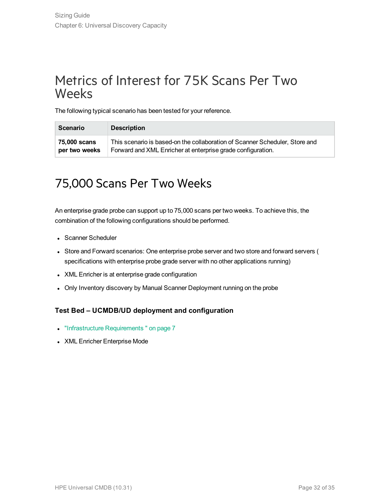## <span id="page-31-0"></span>Metrics of Interest for 75K Scans Per Two Weeks

The following typical scenario has been tested for your reference.

| <b>Scenario</b> | <b>Description</b>                                                          |
|-----------------|-----------------------------------------------------------------------------|
| 75,000 scans    | This scenario is based-on the collaboration of Scanner Scheduler, Store and |
| per two weeks   | Forward and XML Enricher at enterprise grade configuration.                 |

## <span id="page-31-1"></span>75,000 Scans Per Two Weeks

An enterprise grade probe can support up to 75,000 scans per two weeks. To achieve this, the combination of the following configurations should be performed.

- Scanner Scheduler
- Store and Forward scenarios: One enterprise probe server and two store and forward servers ( specifications with enterprise probe grade server with no other applications running)
- XML Enricher is at enterprise grade configuration
- Only Inventory discovery by Manual Scanner Deployment running on the probe

### **Test Bed – UCMDB/UD deployment and configuration**

- ["Infrastructure](#page-6-0) Requirements" on page 7
- XML Enricher Enterprise Mode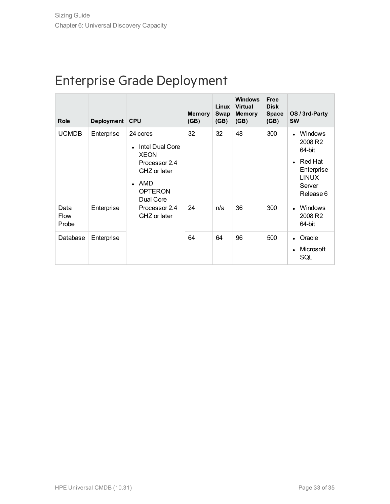## <span id="page-32-0"></span>Enterprise Grade Deployment

| <b>Role</b>                  | Deployment CPU |                                                                                                                                                           | <b>Memory</b><br>(GB) | Linux<br><b>Swap</b><br>(GB) | <b>Windows</b><br><b>Virtual</b><br><b>Memory</b><br>(GB) | <b>Free</b><br><b>Disk</b><br><b>Space</b><br>(GB) | OS / 3rd-Party<br><b>SW</b>                                                                         |
|------------------------------|----------------|-----------------------------------------------------------------------------------------------------------------------------------------------------------|-----------------------|------------------------------|-----------------------------------------------------------|----------------------------------------------------|-----------------------------------------------------------------------------------------------------|
| <b>UCMDB</b>                 | Enterprise     | 24 cores<br><b>Intel Dual Core</b><br><b>XEON</b><br>Processor 2.4<br>GHZ or later<br>AMD<br><b>OPTERON</b><br>Dual Core<br>Processor 2.4<br>GHZ or later | 32                    | 32                           | 48                                                        | 300                                                | <b>Windows</b><br>2008 R2<br>64-bit<br>Red Hat<br>Enterprise<br><b>LINUX</b><br>Server<br>Release 6 |
| Data<br><b>Flow</b><br>Probe | Enterprise     |                                                                                                                                                           | 24                    | n/a                          | 36                                                        | 300                                                | Windows<br>2008 R2<br>64-bit                                                                        |
| Database                     | Enterprise     |                                                                                                                                                           | 64                    | 64                           | 96                                                        | 500                                                | • Oracle<br>Microsoft<br>SQL                                                                        |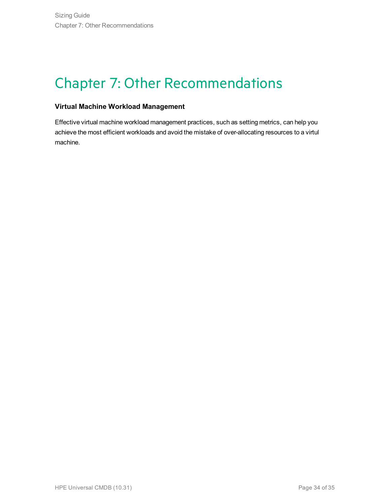# <span id="page-33-0"></span>Chapter 7: Other Recommendations

### **Virtual Machine Workload Management**

Effective virtual machine workload management practices, such as setting metrics, can help you achieve the most efficient workloads and avoid the mistake of over-allocating resources to a virtul machine.